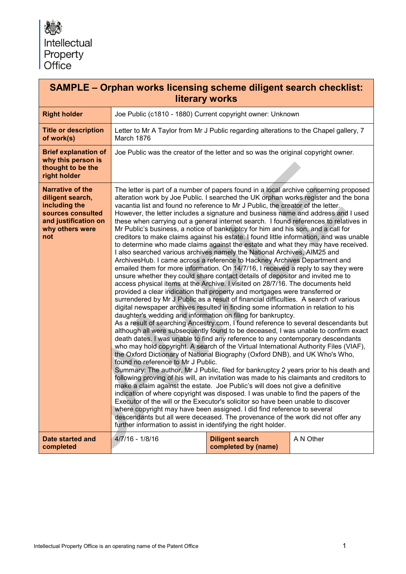| <b>SAMPLE - Orphan works licensing scheme diligent search checklist:</b><br>literary works                                          |                                                                                                                                                                                                                                                                                                                                                                                                                                                                                                                                                                                                                                                                                                                                                                                                                                                                                                                                                                                                                                                                                                                                                                                                                                                                                                                                                                                                                                                                                                                                                                                                                                                                                                                                                                                                                                                                                                                                                                                                                                                                                                                                                                                                                                                                                                                                                                                                                                                                                                                                                              |                                                                                       |           |  |  |
|-------------------------------------------------------------------------------------------------------------------------------------|--------------------------------------------------------------------------------------------------------------------------------------------------------------------------------------------------------------------------------------------------------------------------------------------------------------------------------------------------------------------------------------------------------------------------------------------------------------------------------------------------------------------------------------------------------------------------------------------------------------------------------------------------------------------------------------------------------------------------------------------------------------------------------------------------------------------------------------------------------------------------------------------------------------------------------------------------------------------------------------------------------------------------------------------------------------------------------------------------------------------------------------------------------------------------------------------------------------------------------------------------------------------------------------------------------------------------------------------------------------------------------------------------------------------------------------------------------------------------------------------------------------------------------------------------------------------------------------------------------------------------------------------------------------------------------------------------------------------------------------------------------------------------------------------------------------------------------------------------------------------------------------------------------------------------------------------------------------------------------------------------------------------------------------------------------------------------------------------------------------------------------------------------------------------------------------------------------------------------------------------------------------------------------------------------------------------------------------------------------------------------------------------------------------------------------------------------------------------------------------------------------------------------------------------------------------|---------------------------------------------------------------------------------------|-----------|--|--|
| <b>Right holder</b>                                                                                                                 |                                                                                                                                                                                                                                                                                                                                                                                                                                                                                                                                                                                                                                                                                                                                                                                                                                                                                                                                                                                                                                                                                                                                                                                                                                                                                                                                                                                                                                                                                                                                                                                                                                                                                                                                                                                                                                                                                                                                                                                                                                                                                                                                                                                                                                                                                                                                                                                                                                                                                                                                                              | Joe Public (c1810 - 1880) Current copyright owner: Unknown                            |           |  |  |
| <b>Title or description</b><br>of work(s)                                                                                           | March 1876                                                                                                                                                                                                                                                                                                                                                                                                                                                                                                                                                                                                                                                                                                                                                                                                                                                                                                                                                                                                                                                                                                                                                                                                                                                                                                                                                                                                                                                                                                                                                                                                                                                                                                                                                                                                                                                                                                                                                                                                                                                                                                                                                                                                                                                                                                                                                                                                                                                                                                                                                   | Letter to Mr A Taylor from Mr J Public regarding alterations to the Chapel gallery, 7 |           |  |  |
| <b>Brief explanation of</b><br>why this person is<br>thought to be the<br>right holder                                              | Joe Public was the creator of the letter and so was the original copyright owner.                                                                                                                                                                                                                                                                                                                                                                                                                                                                                                                                                                                                                                                                                                                                                                                                                                                                                                                                                                                                                                                                                                                                                                                                                                                                                                                                                                                                                                                                                                                                                                                                                                                                                                                                                                                                                                                                                                                                                                                                                                                                                                                                                                                                                                                                                                                                                                                                                                                                            |                                                                                       |           |  |  |
| <b>Narrative of the</b><br>diligent search,<br>including the<br>sources consulted<br>and justification on<br>why others were<br>not | The letter is part of a number of papers found in a local archive concerning proposed<br>alteration work by Joe Public. I searched the UK orphan works register and the bona<br>vacantia list and found no reference to Mr J Public, the creator of the letter.<br>However, the letter includes a signature and business name and address and I used<br>these when carrying out a general internet search. I found references to relatives in<br>Mr Public's business, a notice of bankruptcy for him and his son, and a call for<br>creditors to make claims against his estate. I found little information, and was unable<br>to determine who made claims against the estate and what they may have received.<br>I also searched various archives namely the National Archives, AIM25 and<br>ArchivesHub. I came across a reference to Hackney Archives Department and<br>emailed them for more information. On 14/7/16, I received a reply to say they were<br>unsure whether they could share contact details of depositor and invited me to<br>access physical items at the Archive. I visited on 28/7/16. The documents held<br>provided a clear indication that property and mortgages were transferred or<br>surrendered by Mr J Public as a result of financial difficulties. A search of various<br>digital newspaper archives resulted in finding some information in relation to his<br>daughter's wedding and information on filing for bankruptcy.<br>As a result of searching Ancestry.com, I found reference to several descendants but<br>although all were subsequently found to be deceased, I was unable to confirm exact<br>death dates. I was unable to find any reference to any contemporary descendants<br>who may hold copyright. A search of the Virtual International Authority Files (VIAF),<br>the Oxford Dictionary of National Biography (Oxford DNB), and UK Who's Who,<br>found no reference to Mr J Public.<br>Summary: The author, Mr J Public, filed for bankruptcy 2 years prior to his death and<br>following proving of his will, an invitation was made to his claimants and creditors to<br>make a claim against the estate. Joe Public's will does not give a definitive<br>indication of where copyright was disposed. I was unable to find the papers of the<br>Executor of the will or the Executor's solicitor so have been unable to discover<br>where copyright may have been assigned. I did find reference to several<br>descendants but all were deceased. The provenance of the work did not offer any |                                                                                       |           |  |  |
| <b>Date started and</b><br>completed                                                                                                | $4/7/16 - 1/8/16$                                                                                                                                                                                                                                                                                                                                                                                                                                                                                                                                                                                                                                                                                                                                                                                                                                                                                                                                                                                                                                                                                                                                                                                                                                                                                                                                                                                                                                                                                                                                                                                                                                                                                                                                                                                                                                                                                                                                                                                                                                                                                                                                                                                                                                                                                                                                                                                                                                                                                                                                            | <b>Diligent search</b><br>completed by (name)                                         | A N Other |  |  |